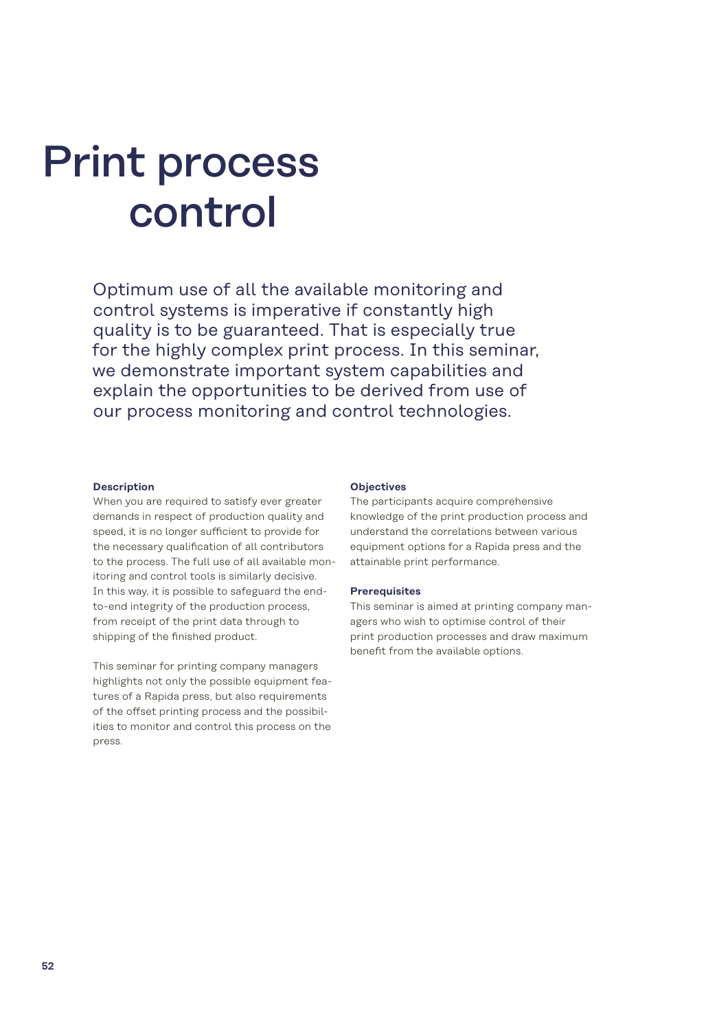# Print process control

Optimum use of all the available monitoring and control systems is imperative if constantly high quality is to be guaranteed. That is especially true for the highly complex print process. In this seminar, we demonstrate important system capabilities and explain the opportunities to be derived from use of our process monitoring and control technologies.

#### **Description**

When you are required to satisfy ever greater demands in respect of production quality and speed, it is no longer sufficient to provide for the necessary qualification of all contributors to the process. The full use of all available monitoring and control tools is similarly decisive. In this way, it is possible to safeguard the endto-end integrity of the production process, from receipt of the print data through to shipping of the finished product.

This seminar for printing company managers highlights not only the possible equipment features of a Rapida press, but also requirements of the offset printing process and the possibilities to monitor and control this process on the press.

#### **Objectives**

The participants acquire comprehensive knowledge of the print production process and understand the correlations between various equipment options for a Rapida press and the attainable print performance.

#### **Prerequisites**

This seminar is aimed at printing company managers who wish to optimise control of their print production processes and draw maximum benefit from the available options.